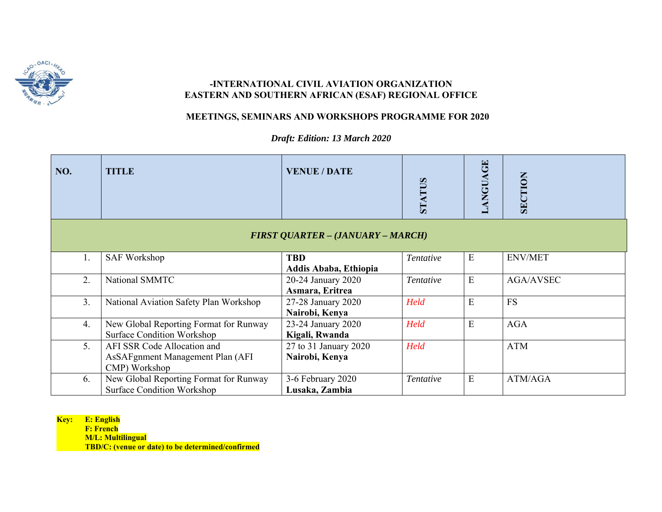

## **-INTERNATIONAL CIVIL AVIATION ORGANIZATION EASTERN AND SOUTHERN AFRICAN (ESAF) REGIONAL OFFICE**

## **MEETINGS, SEMINARS AND WORKSHOPS PROGRAMME FOR 2020**

*Draft: Edition: 13 March 2020* 

| NO. | <b>TITLE</b>                                                                     | <b>VENUE / DATE</b>                      | STATUS           | <b>LANGUAGE</b> | SECTION          |
|-----|----------------------------------------------------------------------------------|------------------------------------------|------------------|-----------------|------------------|
|     |                                                                                  | <b>FIRST QUARTER - (JANUARY - MARCH)</b> |                  |                 |                  |
| 1.  | <b>SAF Workshop</b>                                                              | <b>TBD</b><br>Addis Ababa, Ethiopia      | Tentative        | E               | <b>ENV/MET</b>   |
| 2.  | National SMMTC                                                                   | 20-24 January 2020<br>Asmara, Eritrea    | <i>Tentative</i> | E               | <b>AGA/AVSEC</b> |
| 3.  | National Aviation Safety Plan Workshop                                           | 27-28 January 2020<br>Nairobi, Kenya     | Held             | E               | <b>FS</b>        |
| 4.  | New Global Reporting Format for Runway<br><b>Surface Condition Workshop</b>      | 23-24 January 2020<br>Kigali, Rwanda     | Held             | E               | <b>AGA</b>       |
| 5.  | AFI SSR Code Allocation and<br>AsSAFgnment Management Plan (AFI<br>CMP) Workshop | 27 to 31 January 2020<br>Nairobi, Kenya  | Held             |                 | <b>ATM</b>       |
| 6.  | New Global Reporting Format for Runway<br><b>Surface Condition Workshop</b>      | 3-6 February 2020<br>Lusaka, Zambia      | Tentative        | E               | ATM/AGA          |

**Key: E: English** 

**Example 18 F: French** 

 **M/L: Multilingual**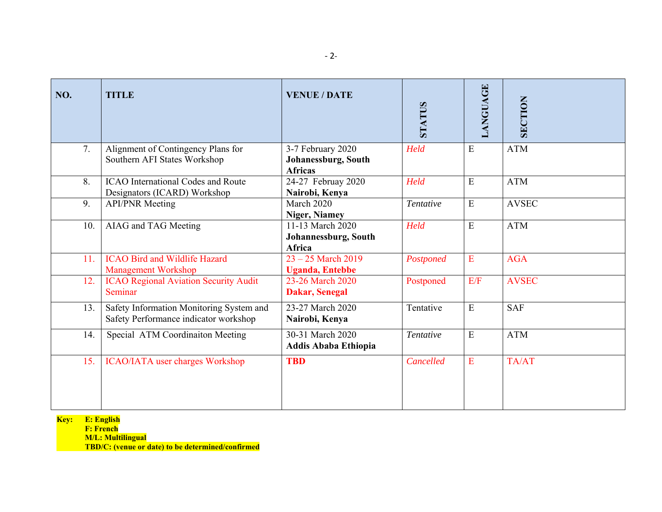| NO. | <b>TITLE</b>                                                                      | <b>VENUE / DATE</b>                                               | <b>STATUS</b> | LANGUAGE       | <b>SECTION</b> |
|-----|-----------------------------------------------------------------------------------|-------------------------------------------------------------------|---------------|----------------|----------------|
| 7.  | Alignment of Contingency Plans for<br>Southern AFI States Workshop                | 3-7 February 2020<br><b>Johanessburg, South</b><br><b>Africas</b> | Held          | ${\bf E}$      | <b>ATM</b>     |
| 8.  | <b>ICAO</b> International Codes and Route<br>Designators (ICARD) Workshop         | 24-27 Februay 2020<br>Nairobi, Kenya                              | Held          | ${\bf E}$      | <b>ATM</b>     |
| 9.  | <b>API/PNR</b> Meeting                                                            | March 2020<br><b>Niger, Niamey</b>                                | Tentative     | ${\bf E}$      | <b>AVSEC</b>   |
| 10. | AIAG and TAG Meeting                                                              | 11-13 March 2020<br>Johannessburg, South<br><b>Africa</b>         | Held          | ${\bf E}$      | <b>ATM</b>     |
| 11. | <b>ICAO Bird and Wildlife Hazard</b><br><b>Management Workshop</b>                | $23 - 25$ March 2019<br><b>Uganda</b> , Entebbe                   | Postponed     | ${\bf E}$      | <b>AGA</b>     |
| 12. | <b>ICAO Regional Aviation Security Audit</b><br>Seminar                           | 23-26 March 2020<br><b>Dakar, Senegal</b>                         | Postponed     | E/F            | <b>AVSEC</b>   |
| 13. | Safety Information Monitoring System and<br>Safety Performance indicator workshop | 23-27 March 2020<br>Nairobi, Kenya                                | Tentative     | $\overline{E}$ | <b>SAF</b>     |
| 14. | Special ATM Coordinaiton Meeting                                                  | 30-31 March 2020<br>Addis Ababa Ethiopia                          | Tentative     | ${\bf E}$      | <b>ATM</b>     |
| 15. | <b>ICAO/IATA</b> user charges Workshop                                            | <b>TBD</b>                                                        | Cancelled     | E              | TA/AT          |

 **F: French M/L: Multilingual**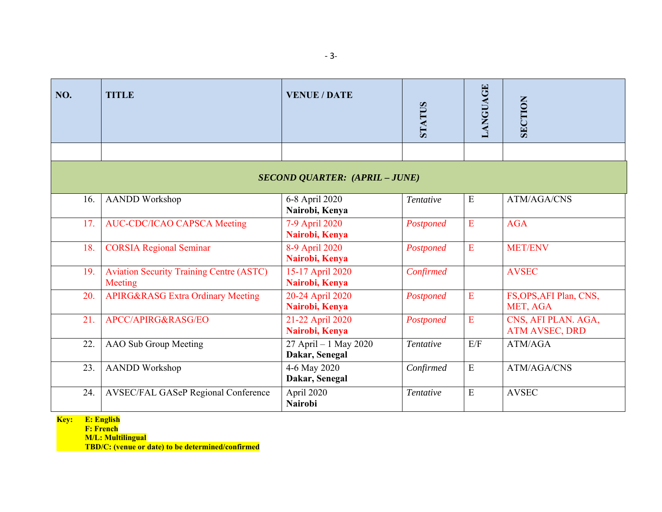| NO. | <b>TITLE</b>                                               | <b>VENUE / DATE</b>                     | <b>STATUS</b> | <b>ANGUAGE</b> | <b>SECTION</b>                               |  |  |  |
|-----|------------------------------------------------------------|-----------------------------------------|---------------|----------------|----------------------------------------------|--|--|--|
|     |                                                            |                                         |               |                |                                              |  |  |  |
|     | <b>SECOND QUARTER: (APRIL - JUNE)</b>                      |                                         |               |                |                                              |  |  |  |
| 16. | <b>AANDD</b> Workshop                                      | 6-8 April 2020<br>Nairobi, Kenya        | Tentative     | ${\bf E}$      | ATM/AGA/CNS                                  |  |  |  |
| 17. | <b>AUC-CDC/ICAO CAPSCA Meeting</b>                         | 7-9 April 2020<br>Nairobi, Kenya        | Postponed     | E              | <b>AGA</b>                                   |  |  |  |
| 18. | <b>CORSIA Regional Seminar</b>                             | 8-9 April 2020<br>Nairobi, Kenya        | Postponed     | E              | <b>MET/ENV</b>                               |  |  |  |
| 19. | <b>Aviation Security Training Centre (ASTC)</b><br>Meeting | 15-17 April 2020<br>Nairobi, Kenya      | Confirmed     |                | <b>AVSEC</b>                                 |  |  |  |
| 20. | <b>APIRG&amp;RASG Extra Ordinary Meeting</b>               | 20-24 April 2020<br>Nairobi, Kenya      | Postponed     | ${\bf E}$      | FS, OPS, AFI Plan, CNS,<br>MET, AGA          |  |  |  |
| 21. | APCC/APIRG&RASG/EO                                         | 21-22 April 2020<br>Nairobi, Kenya      | Postponed     | E              | CNS, AFI PLAN. AGA,<br><b>ATM AVSEC, DRD</b> |  |  |  |
| 22. | AAO Sub Group Meeting                                      | 27 April - 1 May 2020<br>Dakar, Senegal | Tentative     | E/F            | ATM/AGA                                      |  |  |  |
| 23. | <b>AANDD</b> Workshop                                      | 4-6 May 2020<br>Dakar, Senegal          | Confirmed     | ${\bf E}$      | <b>ATM/AGA/CNS</b>                           |  |  |  |
| 24. | AVSEC/FAL GASeP Regional Conference                        | April 2020<br><b>Nairobi</b>            | Tentative     | E              | <b>AVSEC</b>                                 |  |  |  |

 **F: French M/L: Multilingual**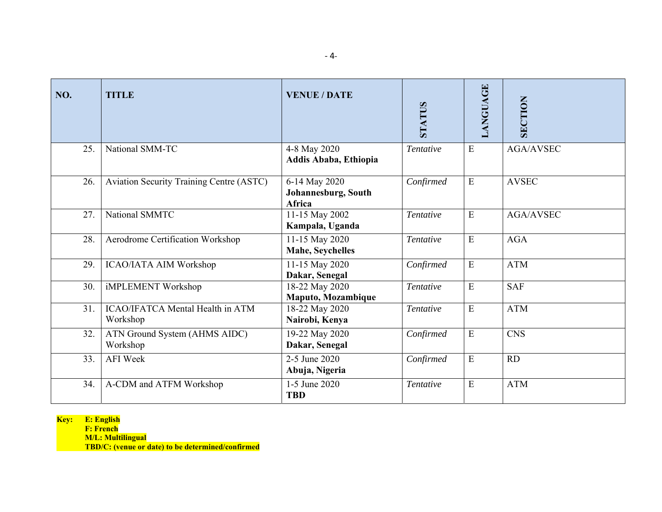| NO. | <b>TITLE</b>                                    | <b>VENUE / DATE</b>                            | <b>STATUS</b> | LANGUAGE  | <b>SECTION</b>   |
|-----|-------------------------------------------------|------------------------------------------------|---------------|-----------|------------------|
| 25. | National SMM-TC                                 | 4-8 May 2020<br>Addis Ababa, Ethiopia          | Tentative     | E         | <b>AGA/AVSEC</b> |
| 26. | <b>Aviation Security Training Centre (ASTC)</b> | 6-14 May 2020<br>Johannesburg, South<br>Africa | Confirmed     | E         | <b>AVSEC</b>     |
| 27. | National SMMTC                                  | 11-15 May 2002<br>Kampala, Uganda              | Tentative     | E         | <b>AGA/AVSEC</b> |
| 28. | Aerodrome Certification Workshop                | 11-15 May 2020<br>Mahe, Seychelles             | Tentative     | E         | <b>AGA</b>       |
| 29. | ICAO/IATA AIM Workshop                          | 11-15 May 2020<br>Dakar, Senegal               | Confirmed     | ${\bf E}$ | <b>ATM</b>       |
| 30. | iMPLEMENT Workshop                              | $18 - 22$ May 2020<br>Maputo, Mozambique       | Tentative     | ${\bf E}$ | <b>SAF</b>       |
| 31. | ICAO/IFATCA Mental Health in ATM<br>Workshop    | 18-22 May 2020<br>Nairobi, Kenya               | Tentative     | ${\bf E}$ | <b>ATM</b>       |
| 32. | ATN Ground System (AHMS AIDC)<br>Workshop       | 19-22 May 2020<br>Dakar, Senegal               | Confirmed     | ${\bf E}$ | <b>CNS</b>       |
| 33. | <b>AFI</b> Week                                 | 2-5 June 2020<br>Abuja, Nigeria                | Confirmed     | ${\bf E}$ | RD               |
| 34. | A-CDM and ATFM Workshop                         | 1-5 June 2020<br><b>TBD</b>                    | Tentative     | E         | <b>ATM</b>       |

 **F: French M/L: Multilingual**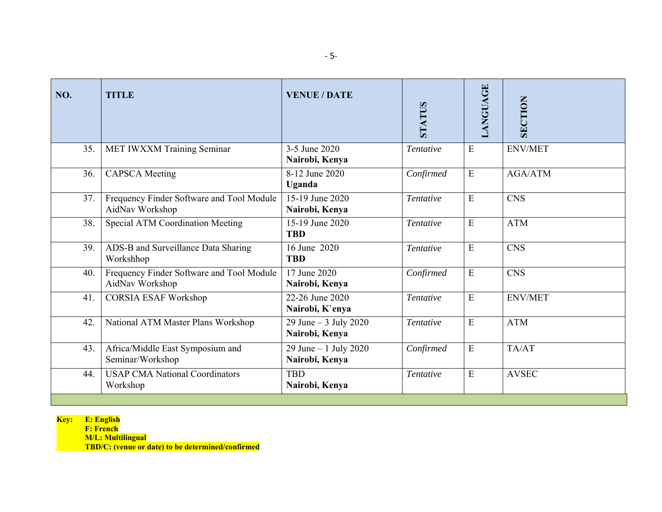| MET IWXXM Training Seminar<br>3-5 June 2020<br>E<br><b>ENV/MET</b><br>35.<br>Tentative<br>Nairobi, Kenya<br>8-12 June 2020<br>E<br><b>AGA/ATM</b><br><b>CAPSCA</b> Meeting<br>Confirmed<br>36.<br>Uganda |  |
|----------------------------------------------------------------------------------------------------------------------------------------------------------------------------------------------------------|--|
|                                                                                                                                                                                                          |  |
|                                                                                                                                                                                                          |  |
| Frequency Finder Software and Tool Module<br>E<br><b>CNS</b><br>15-19 June 2020<br>37.<br>Tentative<br>AidNav Workshop<br>Nairobi, Kenya                                                                 |  |
| Special ATM Coordination Meeting<br>15-19 June 2020<br>E<br><b>ATM</b><br>38.<br>Tentative<br><b>TBD</b>                                                                                                 |  |
| E<br>ADS-B and Surveillance Data Sharing<br>16 June 2020<br><b>CNS</b><br>39.<br>Tentative<br><b>TBD</b><br>Workshhop                                                                                    |  |
| Frequency Finder Software and Tool Module<br>E<br><b>CNS</b><br>17 June 2020<br>Confirmed<br>40.<br>AidNav Workshop<br>Nairobi, Kenya                                                                    |  |
| 22-26 June 2020<br>E<br><b>CORSIA ESAF Workshop</b><br>41.<br><b>ENV/MET</b><br>Tentative<br>Nairobi, K'enya                                                                                             |  |
| 29 June $-3$ July 2020<br>E<br><b>ATM</b><br>National ATM Master Plans Workshop<br>42.<br>Tentative<br>Nairobi, Kenya                                                                                    |  |
| E<br>Africa/Middle East Symposium and<br>29 June $-1$ July 2020<br>TA/AT<br>43.<br>Confirmed<br>Seminar/Workshop<br>Nairobi, Kenya                                                                       |  |
| <b>USAP CMA National Coordinators</b><br>E<br><b>AVSEC</b><br><b>TBD</b><br>44.<br>Tentative<br>Workshop<br>Nairobi, Kenya                                                                               |  |

 **F: French M/L: Multilingual**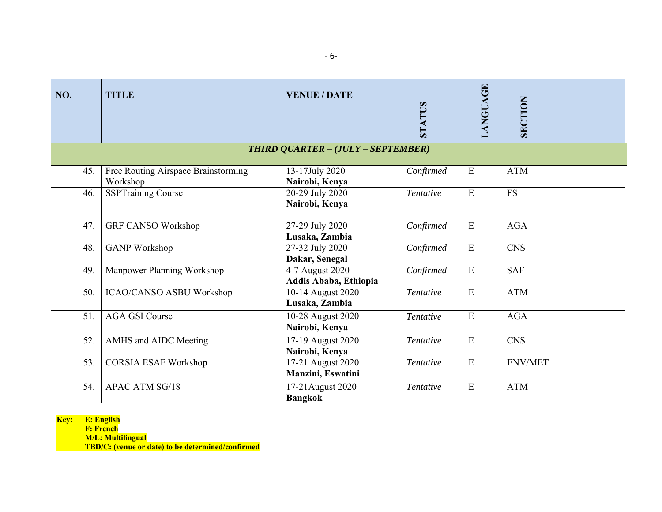| NO. | <b>TITLE</b>                                    | <b>VENUE / DATE</b>                      | <b>STATUS</b> | LANGUAGE  | <b>SECTION</b> |
|-----|-------------------------------------------------|------------------------------------------|---------------|-----------|----------------|
|     |                                                 | THIRD QUARTER - (JULY - SEPTEMBER)       |               |           |                |
| 45. | Free Routing Airspace Brainstorming<br>Workshop | 13-17July 2020<br>Nairobi, Kenya         | Confirmed     | ${\bf E}$ | <b>ATM</b>     |
| 46. | <b>SSPTraining Course</b>                       | 20-29 July 2020<br>Nairobi, Kenya        | Tentative     | E         | <b>FS</b>      |
| 47. | <b>GRF CANSO Workshop</b>                       | 27-29 July 2020<br>Lusaka, Zambia        | Confirmed     | ${\bf E}$ | <b>AGA</b>     |
| 48. | <b>GANP</b> Workshop                            | 27-32 July 2020<br>Dakar, Senegal        | Confirmed     | ${\bf E}$ | <b>CNS</b>     |
| 49. | Manpower Planning Workshop                      | 4-7 August 2020<br>Addis Ababa, Ethiopia | Confirmed     | ${\bf E}$ | <b>SAF</b>     |
| 50. | ICAO/CANSO ASBU Workshop                        | 10-14 August 2020<br>Lusaka, Zambia      | Tentative     | E         | <b>ATM</b>     |
| 51. | <b>AGA GSI Course</b>                           | 10-28 August 2020<br>Nairobi, Kenya      | Tentative     | ${\bf E}$ | <b>AGA</b>     |
| 52. | AMHS and AIDC Meeting                           | 17-19 August 2020<br>Nairobi, Kenya      | Tentative     | ${\bf E}$ | <b>CNS</b>     |
| 53. | <b>CORSIA ESAF Workshop</b>                     | 17-21 August 2020<br>Manzini, Eswatini   | Tentative     | ${\bf E}$ | <b>ENV/MET</b> |
| 54. | <b>APAC ATM SG/18</b>                           | 17-21 August 2020<br><b>Bangkok</b>      | Tentative     | E         | <b>ATM</b>     |

 **F: French M/L: Multilingual**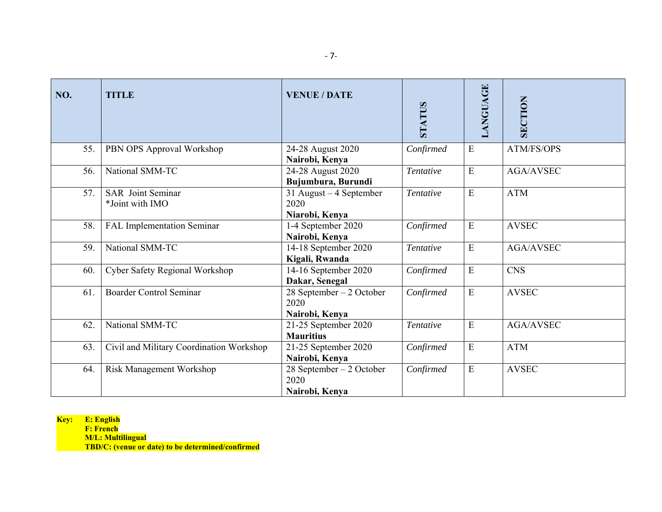| NO. | <b>TITLE</b>                                | <b>VENUE / DATE</b>                                   | <b>STATUS</b> | LANGUAGE  | SECTION          |
|-----|---------------------------------------------|-------------------------------------------------------|---------------|-----------|------------------|
| 55. | PBN OPS Approval Workshop                   | 24-28 August 2020<br>Nairobi, Kenya                   | Confirmed     | ${\bf E}$ | ATM/FS/OPS       |
| 56. | National SMM-TC                             | 24-28 August 2020<br>Bujumbura, Burundi               | Tentative     | E         | <b>AGA/AVSEC</b> |
| 57. | <b>SAR</b> Joint Seminar<br>*Joint with IMO | 31 August $-4$ September<br>2020<br>Niarobi, Kenya    | Tentative     | ${\bf E}$ | <b>ATM</b>       |
| 58. | FAL Implementation Seminar                  | 1-4 September 2020<br>Nairobi, Kenya                  | Confirmed     | ${\bf E}$ | <b>AVSEC</b>     |
| 59. | National SMM-TC                             | 14-18 September 2020<br>Kigali, Rwanda                | Tentative     | ${\bf E}$ | AGA/AVSEC        |
| 60. | Cyber Safety Regional Workshop              | 14-16 September 2020<br>Dakar, Senegal                | Confirmed     | ${\bf E}$ | <b>CNS</b>       |
| 61. | <b>Boarder Control Seminar</b>              | $28$ September $-2$ October<br>2020<br>Nairobi, Kenya | Confirmed     | ${\bf E}$ | <b>AVSEC</b>     |
| 62. | National SMM-TC                             | 21-25 September 2020<br><b>Mauritius</b>              | Tentative     | E         | <b>AGA/AVSEC</b> |
| 63. | Civil and Military Coordination Workshop    | 21-25 September 2020<br>Nairobi, Kenya                | Confirmed     | ${\bf E}$ | <b>ATM</b>       |
| 64. | Risk Management Workshop                    | 28 September – 2 October<br>2020<br>Nairobi, Kenya    | Confirmed     | ${\bf E}$ | <b>AVSEC</b>     |

 **F: French M/L: Multilingual**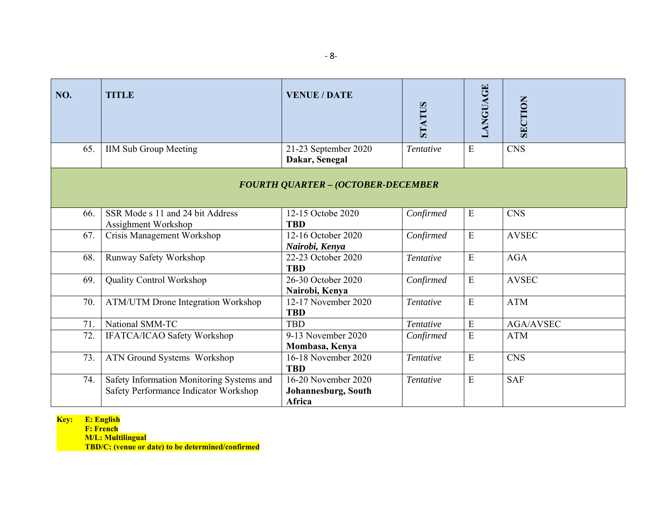| NO. | <b>TITLE</b>                                                                       | <b>VENUE / DATE</b>                                  | <b>STATUS</b> | LANGUAGE    | <b>SECTION</b>   |  |  |
|-----|------------------------------------------------------------------------------------|------------------------------------------------------|---------------|-------------|------------------|--|--|
| 65. | <b>IIM Sub Group Meeting</b>                                                       | 21-23 September 2020<br>Dakar, Senegal               | Tentative     | ${\bf E}$   | <b>CNS</b>       |  |  |
|     | <b>FOURTH QUARTER - (OCTOBER-DECEMBER</b>                                          |                                                      |               |             |                  |  |  |
| 66. | SSR Mode s 11 and 24 bit Address<br>Assighment Workshop                            | 12-15 Octobe 2020<br><b>TBD</b>                      | Confirmed     | $\mathbf E$ | <b>CNS</b>       |  |  |
| 67. | Crisis Management Workshop                                                         | 12-16 October 2020<br>Nairobi, Kenya                 | Confirmed     | ${\bf E}$   | <b>AVSEC</b>     |  |  |
| 68. | Runway Safety Workshop                                                             | 22-23 October 2020<br><b>TBD</b>                     | Tentative     | E           | <b>AGA</b>       |  |  |
| 69. | Quality Control Workshop                                                           | 26-30 October 2020<br>Nairobi, Kenya                 | Confirmed     | $\mathbf E$ | <b>AVSEC</b>     |  |  |
| 70. | <b>ATM/UTM Drone Integration Workshop</b>                                          | 12-17 November 2020<br><b>TBD</b>                    | Tentative     | E           | <b>ATM</b>       |  |  |
| 71. | National SMM-TC                                                                    | <b>TBD</b>                                           | Tentative     | ${\bf E}$   | <b>AGA/AVSEC</b> |  |  |
| 72. | IFATCA/ICAO Safety Workshop                                                        | 9-13 November 2020<br>Mombasa, Kenya                 | Confirmed     | ${\bf E}$   | <b>ATM</b>       |  |  |
| 73. | ATN Ground Systems Workshop                                                        | 16-18 November 2020<br><b>TBD</b>                    | Tentative     | ${\bf E}$   | <b>CNS</b>       |  |  |
| 74. | Safety Information Monitoring Systems and<br>Safety Performance Indicator Workshop | 16-20 November 2020<br>Johannesburg, South<br>Africa | Tentative     | ${\bf E}$   | <b>SAF</b>       |  |  |

 **F: French M/L: Multilingual**